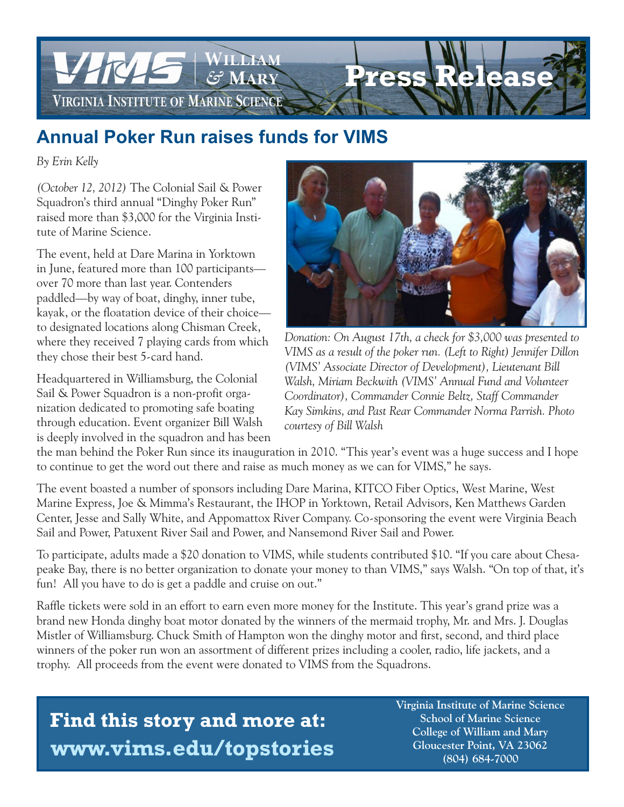

## **Annual Poker Run raises funds for VIMS**

*By Erin Kelly*

*(October 12, 2012)* The Colonial Sail & Power Squadron's third annual "Dinghy Poker Run" raised more than \$3,000 for the Virginia Institute of Marine Science.

The event, held at Dare Marina in Yorktown in June, featured more than 100 participants over 70 more than last year. Contenders paddled—by way of boat, dinghy, inner tube, kayak, or the floatation device of their choice to designated locations along Chisman Creek, where they received 7 playing cards from which they chose their best 5-card hand.

Headquartered in Williamsburg, the Colonial Sail & Power Squadron is a non-profit organization dedicated to promoting safe boating through education. Event organizer Bill Walsh is deeply involved in the squadron and has been



*Donation: On August 17th, a check for \$3,000 was presented to VIMS as a result of the poker run. (Left to Right) Jennifer Dillon (VIMS' Associate Director of Development), Lieutenant Bill Walsh, Miriam Beckwith (VIMS' Annual Fund and Volunteer Coordinator), Commander Connie Beltz, Staff Commander Kay Simkins, and Past Rear Commander Norma Parrish. Photo courtesy of Bill Walsh*

the man behind the Poker Run since its inauguration in 2010. "This year's event was a huge success and I hope to continue to get the word out there and raise as much money as we can for VIMS," he says.

The event boasted a number of sponsors including Dare Marina, KITCO Fiber Optics, West Marine, West Marine Express, Joe & Mimma's Restaurant, the IHOP in Yorktown, Retail Advisors, Ken Matthews Garden Center, Jesse and Sally White, and Appomattox River Company. Co-sponsoring the event were Virginia Beach Sail and Power, Patuxent River Sail and Power, and Nansemond River Sail and Power.

To participate, adults made a \$20 donation to VIMS, while students contributed \$10. "If you care about Chesapeake Bay, there is no better organization to donate your money to than VIMS," says Walsh. "On top of that, it's fun! All you have to do is get a paddle and cruise on out."

Raffle tickets were sold in an effort to earn even more money for the Institute. This year's grand prize was a brand new Honda dinghy boat motor donated by the winners of the mermaid trophy, Mr. and Mrs. J. Douglas Mistler of Williamsburg. Chuck Smith of Hampton won the dinghy motor and first, second, and third place winners of the poker run won an assortment of different prizes including a cooler, radio, life jackets, and a trophy. All proceeds from the event were donated to VIMS from the Squadrons.

## **Find this story and more at: www.vims.edu/topstories**

 **Virginia Institute of Marine Science School of Marine Science College of William and Mary Gloucester Point, VA 23062 (804) 684-7000**